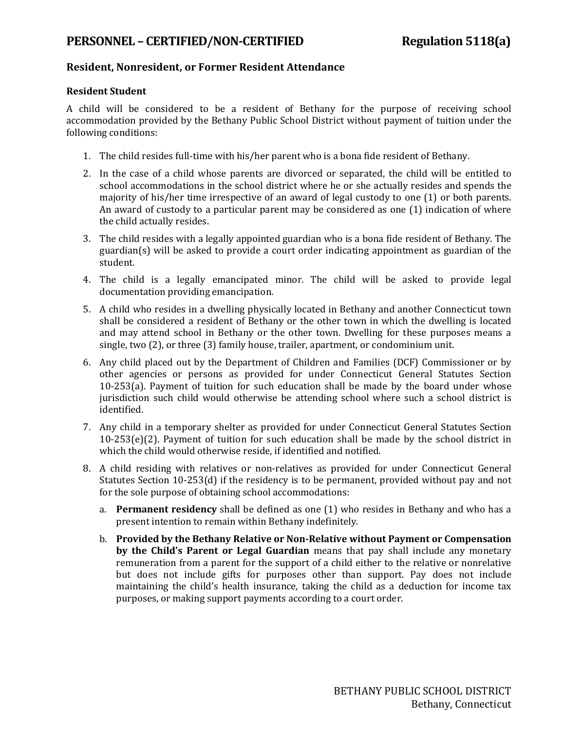## **PERSONNEL – CERTIFIED/NON-CERTIFIED Regulation 5118(a)**

## **Resident, Nonresident, or Former Resident Attendance**

#### **Resident Student**

A child will be considered to be a resident of Bethany for the purpose of receiving school accommodation provided by the Bethany Public School District without payment of tuition under the following conditions:

- 1. The child resides full-time with his/her parent who is a bona fide resident of Bethany.
- 2. In the case of a child whose parents are divorced or separated, the child will be entitled to school accommodations in the school district where he or she actually resides and spends the majority of his/her time irrespective of an award of legal custody to one (1) or both parents. An award of custody to a particular parent may be considered as one (1) indication of where the child actually resides.
- 3. The child resides with a legally appointed guardian who is a bona fide resident of Bethany. The guardian(s) will be asked to provide a court order indicating appointment as guardian of the student.
- 4. The child is a legally emancipated minor. The child will be asked to provide legal documentation providing emancipation.
- 5. A child who resides in a dwelling physically located in Bethany and another Connecticut town shall be considered a resident of Bethany or the other town in which the dwelling is located and may attend school in Bethany or the other town. Dwelling for these purposes means a single, two (2), or three (3) family house, trailer, apartment, or condominium unit.
- 6. Any child placed out by the Department of Children and Families (DCF) Commissioner or by other agencies or persons as provided for under Connecticut General Statutes Section 10-253(a). Payment of tuition for such education shall be made by the board under whose jurisdiction such child would otherwise be attending school where such a school district is identified.
- 7. Any child in a temporary shelter as provided for under Connecticut General Statutes Section 10-253(e)(2). Payment of tuition for such education shall be made by the school district in which the child would otherwise reside, if identified and notified.
- 8. A child residing with relatives or non-relatives as provided for under Connecticut General Statutes Section 10-253(d) if the residency is to be permanent, provided without pay and not for the sole purpose of obtaining school accommodations:
	- a. **Permanent residency** shall be defined as one (1) who resides in Bethany and who has a present intention to remain within Bethany indefinitely.
	- b. **Provided by the Bethany Relative or Non-Relative without Payment or Compensation by the Child's Parent or Legal Guardian** means that pay shall include any monetary remuneration from a parent for the support of a child either to the relative or nonrelative but does not include gifts for purposes other than support. Pay does not include maintaining the child's health insurance, taking the child as a deduction for income tax purposes, or making support payments according to a court order.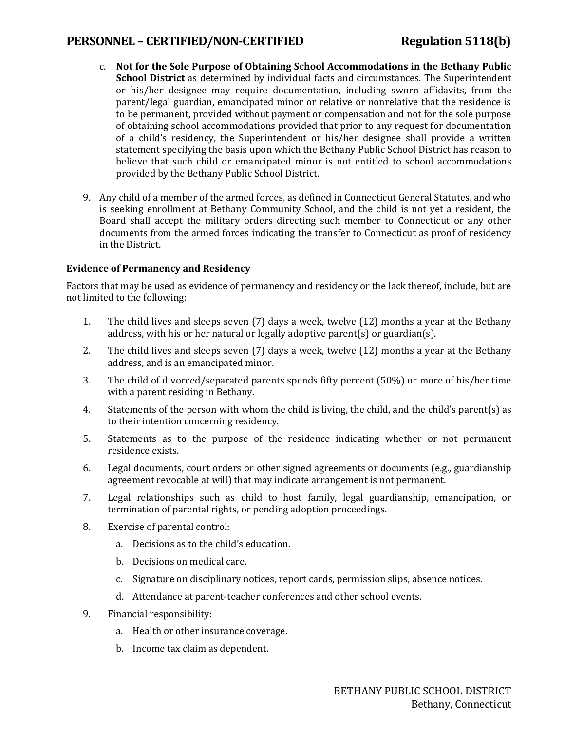# **PERSONNEL – CERTIFIED/NON-CERTIFIED Regulation 5118(b)**

- c. **Not for the Sole Purpose of Obtaining School Accommodations in the Bethany Public School District** as determined by individual facts and circumstances. The Superintendent or his/her designee may require documentation, including sworn affidavits, from the parent/legal guardian, emancipated minor or relative or nonrelative that the residence is to be permanent, provided without payment or compensation and not for the sole purpose of obtaining school accommodations provided that prior to any request for documentation of a child's residency, the Superintendent or his/her designee shall provide a written statement specifying the basis upon which the Bethany Public School District has reason to believe that such child or emancipated minor is not entitled to school accommodations provided by the Bethany Public School District.
- 9. Any child of a member of the armed forces, as defined in Connecticut General Statutes, and who is seeking enrollment at Bethany Community School, and the child is not yet a resident, the Board shall accept the military orders directing such member to Connecticut or any other documents from the armed forces indicating the transfer to Connecticut as proof of residency in the District.

#### **Evidence of Permanency and Residency**

Factors that may be used as evidence of permanency and residency or the lack thereof, include, but are not limited to the following:

- 1. The child lives and sleeps seven (7) days a week, twelve (12) months a year at the Bethany address, with his or her natural or legally adoptive parent(s) or guardian(s).
- 2. The child lives and sleeps seven (7) days a week, twelve (12) months a year at the Bethany address, and is an emancipated minor.
- 3. The child of divorced/separated parents spends fifty percent (50%) or more of his/her time with a parent residing in Bethany.
- 4. Statements of the person with whom the child is living, the child, and the child's parent(s) as to their intention concerning residency.
- 5. Statements as to the purpose of the residence indicating whether or not permanent residence exists.
- 6. Legal documents, court orders or other signed agreements or documents (e.g., guardianship agreement revocable at will) that may indicate arrangement is not permanent.
- 7. Legal relationships such as child to host family, legal guardianship, emancipation, or termination of parental rights, or pending adoption proceedings.
- 8. Exercise of parental control:
	- a. Decisions as to the child's education.
	- b. Decisions on medical care.
	- c. Signature on disciplinary notices, report cards, permission slips, absence notices.
	- d. Attendance at parent-teacher conferences and other school events.
- 9. Financial responsibility:
	- a. Health or other insurance coverage.
	- b. Income tax claim as dependent.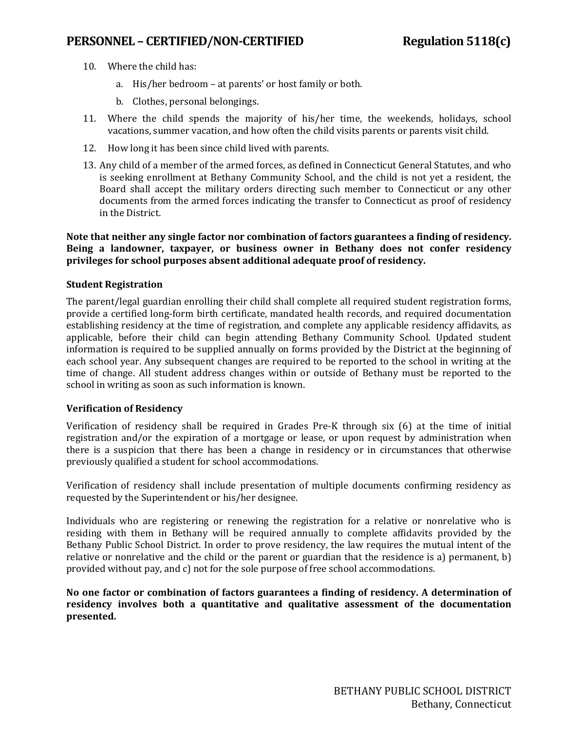## **PERSONNEL – CERTIFIED/NON-CERTIFIED Regulation 5118(c)**

- 10. Where the child has:
	- a. His/her bedroom at parents' or host family or both.
	- b. Clothes, personal belongings.
- 11. Where the child spends the majority of his/her time, the weekends, holidays, school vacations, summer vacation, and how often the child visits parents or parents visit child.
- 12. How long it has been since child lived with parents.
- 13. Any child of a member of the armed forces, as defined in Connecticut General Statutes, and who is seeking enrollment at Bethany Community School, and the child is not yet a resident, the Board shall accept the military orders directing such member to Connecticut or any other documents from the armed forces indicating the transfer to Connecticut as proof of residency in the District.

#### **Note that neither any single factor nor combination of factors guarantees a finding of residency. Being a landowner, taxpayer, or business owner in Bethany does not confer residency privileges for school purposes absent additional adequate proof of residency.**

#### **Student Registration**

The parent/legal guardian enrolling their child shall complete all required student registration forms, provide a certified long-form birth certificate, mandated health records, and required documentation establishing residency at the time of registration, and complete any applicable residency affidavits, as applicable, before their child can begin attending Bethany Community School. Updated student information is required to be supplied annually on forms provided by the District at the beginning of each school year. Any subsequent changes are required to be reported to the school in writing at the time of change. All student address changes within or outside of Bethany must be reported to the school in writing as soon as such information is known.

#### **Verification of Residency**

Verification of residency shall be required in Grades Pre-K through six (6) at the time of initial registration and/or the expiration of a mortgage or lease, or upon request by administration when there is a suspicion that there has been a change in residency or in circumstances that otherwise previously qualified a student for school accommodations.

Verification of residency shall include presentation of multiple documents confirming residency as requested by the Superintendent or his/her designee.

Individuals who are registering or renewing the registration for a relative or nonrelative who is residing with them in Bethany will be required annually to complete affidavits provided by the Bethany Public School District. In order to prove residency, the law requires the mutual intent of the relative or nonrelative and the child or the parent or guardian that the residence is a) permanent, b) provided without pay, and c) not for the sole purpose of free school accommodations.

**No one factor or combination of factors guarantees a finding of residency. A determination of residency involves both a quantitative and qualitative assessment of the documentation presented.**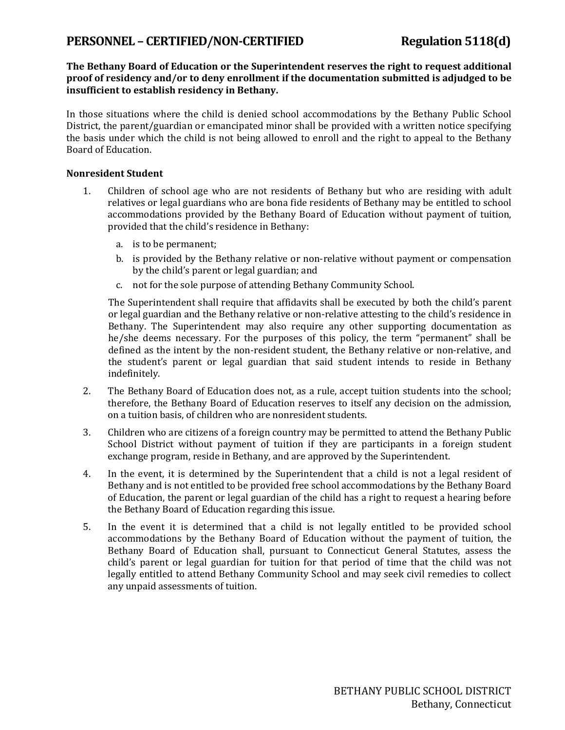# PERSONNEL – CERTIFIED/NON-CERTIFIED Regulation 5118(d)

#### **The Bethany Board of Education or the Superintendent reserves the right to request additional proof of residency and/or to deny enrollment if the documentation submitted is adjudged to be insufficient to establish residency in Bethany.**

In those situations where the child is denied school accommodations by the Bethany Public School District, the parent/guardian or emancipated minor shall be provided with a written notice specifying the basis under which the child is not being allowed to enroll and the right to appeal to the Bethany Board of Education.

#### **Nonresident Student**

- 1. Children of school age who are not residents of Bethany but who are residing with adult relatives or legal guardians who are bona fide residents of Bethany may be entitled to school accommodations provided by the Bethany Board of Education without payment of tuition, provided that the child's residence in Bethany:
	- a. is to be permanent;
	- b. is provided by the Bethany relative or non-relative without payment or compensation by the child's parent or legal guardian; and
	- c. not for the sole purpose of attending Bethany Community School.

The Superintendent shall require that affidavits shall be executed by both the child's parent or legal guardian and the Bethany relative or non-relative attesting to the child's residence in Bethany. The Superintendent may also require any other supporting documentation as he/she deems necessary. For the purposes of this policy, the term "permanent" shall be defined as the intent by the non-resident student, the Bethany relative or non-relative, and the student's parent or legal guardian that said student intends to reside in Bethany indefinitely.

- 2. The Bethany Board of Education does not, as a rule, accept tuition students into the school; therefore, the Bethany Board of Education reserves to itself any decision on the admission, on a tuition basis, of children who are nonresident students.
- 3. Children who are citizens of a foreign country may be permitted to attend the Bethany Public School District without payment of tuition if they are participants in a foreign student exchange program, reside in Bethany, and are approved by the Superintendent.
- 4. In the event, it is determined by the Superintendent that a child is not a legal resident of Bethany and is not entitled to be provided free school accommodations by the Bethany Board of Education, the parent or legal guardian of the child has a right to request a hearing before the Bethany Board of Education regarding this issue.
- 5. In the event it is determined that a child is not legally entitled to be provided school accommodations by the Bethany Board of Education without the payment of tuition, the Bethany Board of Education shall, pursuant to Connecticut General Statutes, assess the child's parent or legal guardian for tuition for that period of time that the child was not legally entitled to attend Bethany Community School and may seek civil remedies to collect any unpaid assessments of tuition.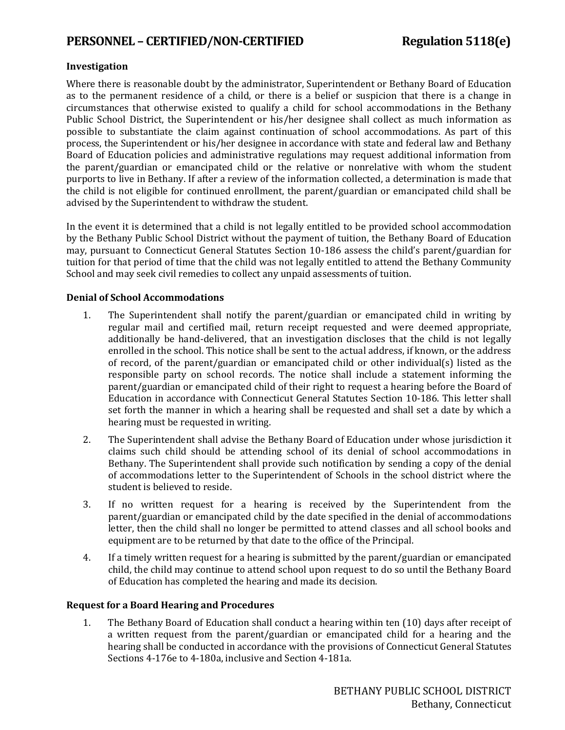# **PERSONNEL – CERTIFIED/NON-CERTIFIED Regulation 5118(e)**

#### **Investigation**

Where there is reasonable doubt by the administrator, Superintendent or Bethany Board of Education as to the permanent residence of a child, or there is a belief or suspicion that there is a change in circumstances that otherwise existed to qualify a child for school accommodations in the Bethany Public School District, the Superintendent or his/her designee shall collect as much information as possible to substantiate the claim against continuation of school accommodations. As part of this process, the Superintendent or his/her designee in accordance with state and federal law and Bethany Board of Education policies and administrative regulations may request additional information from the parent/guardian or emancipated child or the relative or nonrelative with whom the student purports to live in Bethany. If after a review of the information collected, a determination is made that the child is not eligible for continued enrollment, the parent/guardian or emancipated child shall be advised by the Superintendent to withdraw the student.

In the event it is determined that a child is not legally entitled to be provided school accommodation by the Bethany Public School District without the payment of tuition, the Bethany Board of Education may, pursuant to Connecticut General Statutes Section 10-186 assess the child's parent/guardian for tuition for that period of time that the child was not legally entitled to attend the Bethany Community School and may seek civil remedies to collect any unpaid assessments of tuition.

#### **Denial of School Accommodations**

- 1. The Superintendent shall notify the parent/guardian or emancipated child in writing by regular mail and certified mail, return receipt requested and were deemed appropriate, additionally be hand-delivered, that an investigation discloses that the child is not legally enrolled in the school. This notice shall be sent to the actual address, if known, or the address of record, of the parent/guardian or emancipated child or other individual(s) listed as the responsible party on school records. The notice shall include a statement informing the parent/guardian or emancipated child of their right to request a hearing before the Board of Education in accordance with Connecticut General Statutes Section 10-186. This letter shall set forth the manner in which a hearing shall be requested and shall set a date by which a hearing must be requested in writing.
- 2. The Superintendent shall advise the Bethany Board of Education under whose jurisdiction it claims such child should be attending school of its denial of school accommodations in Bethany. The Superintendent shall provide such notification by sending a copy of the denial of accommodations letter to the Superintendent of Schools in the school district where the student is believed to reside.
- 3. If no written request for a hearing is received by the Superintendent from the parent/guardian or emancipated child by the date specified in the denial of accommodations letter, then the child shall no longer be permitted to attend classes and all school books and equipment are to be returned by that date to the office of the Principal.
- 4. If a timely written request for a hearing is submitted by the parent/guardian or emancipated child, the child may continue to attend school upon request to do so until the Bethany Board of Education has completed the hearing and made its decision.

#### **Request for a Board Hearing and Procedures**

1. The Bethany Board of Education shall conduct a hearing within ten (10) days after receipt of a written request from the parent/guardian or emancipated child for a hearing and the hearing shall be conducted in accordance with the provisions of Connecticut General Statutes Sections 4-176e to 4-180a, inclusive and Section 4-181a.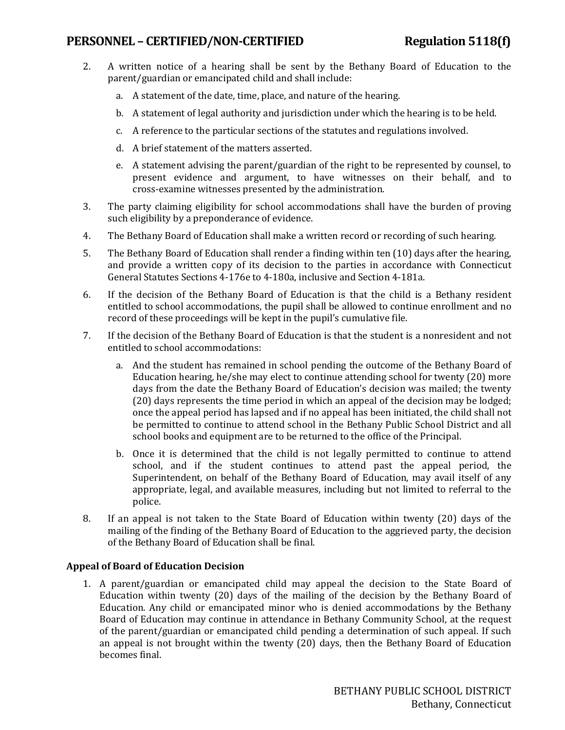# **PERSONNEL – CERTIFIED/NON-CERTIFIED Regulation 5118(f)**

- 2. A written notice of a hearing shall be sent by the Bethany Board of Education to the parent/guardian or emancipated child and shall include:
	- a. A statement of the date, time, place, and nature of the hearing.
	- b. A statement of legal authority and jurisdiction under which the hearing is to be held.
	- c. A reference to the particular sections of the statutes and regulations involved.
	- d. A brief statement of the matters asserted.
	- e. A statement advising the parent/guardian of the right to be represented by counsel, to present evidence and argument, to have witnesses on their behalf, and to cross-examine witnesses presented by the administration.
- 3. The party claiming eligibility for school accommodations shall have the burden of proving such eligibility by a preponderance of evidence.
- 4. The Bethany Board of Education shall make a written record or recording of such hearing.
- 5. The Bethany Board of Education shall render a finding within ten (10) days after the hearing, and provide a written copy of its decision to the parties in accordance with Connecticut General Statutes Sections 4-176e to 4-180a, inclusive and Section 4-181a.
- 6. If the decision of the Bethany Board of Education is that the child is a Bethany resident entitled to school accommodations, the pupil shall be allowed to continue enrollment and no record of these proceedings will be kept in the pupil's cumulative file.
- 7. If the decision of the Bethany Board of Education is that the student is a nonresident and not entitled to school accommodations:
	- a. And the student has remained in school pending the outcome of the Bethany Board of Education hearing, he/she may elect to continue attending school for twenty (20) more days from the date the Bethany Board of Education's decision was mailed; the twenty (20) days represents the time period in which an appeal of the decision may be lodged; once the appeal period has lapsed and if no appeal has been initiated, the child shall not be permitted to continue to attend school in the Bethany Public School District and all school books and equipment are to be returned to the office of the Principal.
	- b. Once it is determined that the child is not legally permitted to continue to attend school, and if the student continues to attend past the appeal period, the Superintendent, on behalf of the Bethany Board of Education, may avail itself of any appropriate, legal, and available measures, including but not limited to referral to the police.
- 8. If an appeal is not taken to the State Board of Education within twenty (20) days of the mailing of the finding of the Bethany Board of Education to the aggrieved party, the decision of the Bethany Board of Education shall be final.

#### **Appeal of Board of Education Decision**

1. A parent/guardian or emancipated child may appeal the decision to the State Board of Education within twenty (20) days of the mailing of the decision by the Bethany Board of Education. Any child or emancipated minor who is denied accommodations by the Bethany Board of Education may continue in attendance in Bethany Community School, at the request of the parent/guardian or emancipated child pending a determination of such appeal. If such an appeal is not brought within the twenty (20) days, then the Bethany Board of Education becomes final.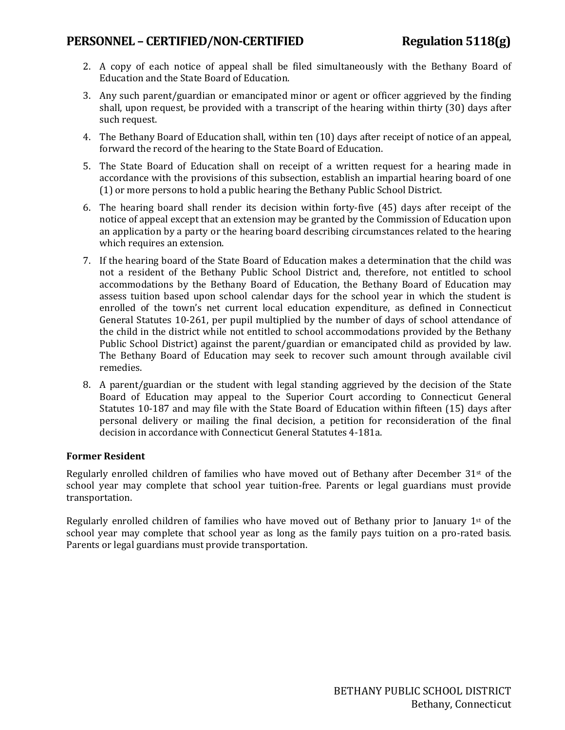# **PERSONNEL – CERTIFIED/NON-CERTIFIED Regulation 5118(g)**

- 2. A copy of each notice of appeal shall be filed simultaneously with the Bethany Board of Education and the State Board of Education.
- 3. Any such parent/guardian or emancipated minor or agent or officer aggrieved by the finding shall, upon request, be provided with a transcript of the hearing within thirty (30) days after such request.
- 4. The Bethany Board of Education shall, within ten (10) days after receipt of notice of an appeal, forward the record of the hearing to the State Board of Education.
- 5. The State Board of Education shall on receipt of a written request for a hearing made in accordance with the provisions of this subsection, establish an impartial hearing board of one (1) or more persons to hold a public hearing the Bethany Public School District.
- 6. The hearing board shall render its decision within forty-five (45) days after receipt of the notice of appeal except that an extension may be granted by the Commission of Education upon an application by a party or the hearing board describing circumstances related to the hearing which requires an extension.
- 7. If the hearing board of the State Board of Education makes a determination that the child was not a resident of the Bethany Public School District and, therefore, not entitled to school accommodations by the Bethany Board of Education, the Bethany Board of Education may assess tuition based upon school calendar days for the school year in which the student is enrolled of the town's net current local education expenditure, as defined in Connecticut General Statutes 10-261, per pupil multiplied by the number of days of school attendance of the child in the district while not entitled to school accommodations provided by the Bethany Public School District) against the parent/guardian or emancipated child as provided by law. The Bethany Board of Education may seek to recover such amount through available civil remedies.
- 8. A parent/guardian or the student with legal standing aggrieved by the decision of the State Board of Education may appeal to the Superior Court according to Connecticut General Statutes 10-187 and may file with the State Board of Education within fifteen (15) days after personal delivery or mailing the final decision, a petition for reconsideration of the final decision in accordance with Connecticut General Statutes 4-181a.

#### **Former Resident**

Regularly enrolled children of families who have moved out of Bethany after December  $31<sup>st</sup>$  of the school year may complete that school year tuition-free. Parents or legal guardians must provide transportation.

Regularly enrolled children of families who have moved out of Bethany prior to January 1st of the school year may complete that school year as long as the family pays tuition on a pro-rated basis. Parents or legal guardians must provide transportation.